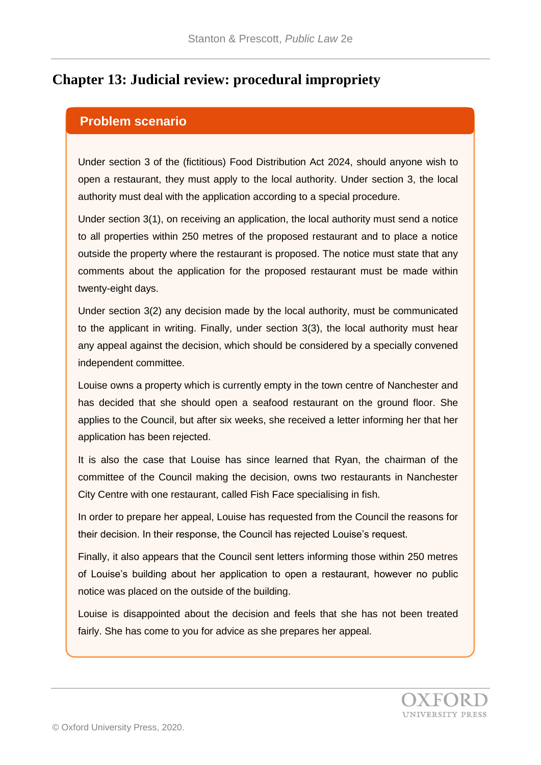# **Chapter 13: Judicial review: procedural impropriety**

#### **Problem scenario**

Under section 3 of the (fictitious) Food Distribution Act 2024, should anyone wish to open a restaurant, they must apply to the local authority. Under section 3, the local authority must deal with the application according to a special procedure.

Under section 3(1), on receiving an application, the local authority must send a notice to all properties within 250 metres of the proposed restaurant and to place a notice outside the property where the restaurant is proposed. The notice must state that any comments about the application for the proposed restaurant must be made within twenty-eight days.

Under section 3(2) any decision made by the local authority, must be communicated to the applicant in writing. Finally, under section 3(3), the local authority must hear any appeal against the decision, which should be considered by a specially convened independent committee.

Louise owns a property which is currently empty in the town centre of Nanchester and has decided that she should open a seafood restaurant on the ground floor. She applies to the Council, but after six weeks, she received a letter informing her that her application has been rejected.

It is also the case that Louise has since learned that Ryan, the chairman of the committee of the Council making the decision, owns two restaurants in Nanchester City Centre with one restaurant, called Fish Face specialising in fish.

In order to prepare her appeal, Louise has requested from the Council the reasons for their decision. In their response, the Council has rejected Louise's request.

Finally, it also appears that the Council sent letters informing those within 250 metres of Louise's building about her application to open a restaurant, however no public notice was placed on the outside of the building.

Louise is disappointed about the decision and feels that she has not been treated fairly. She has come to you for advice as she prepares her appeal.

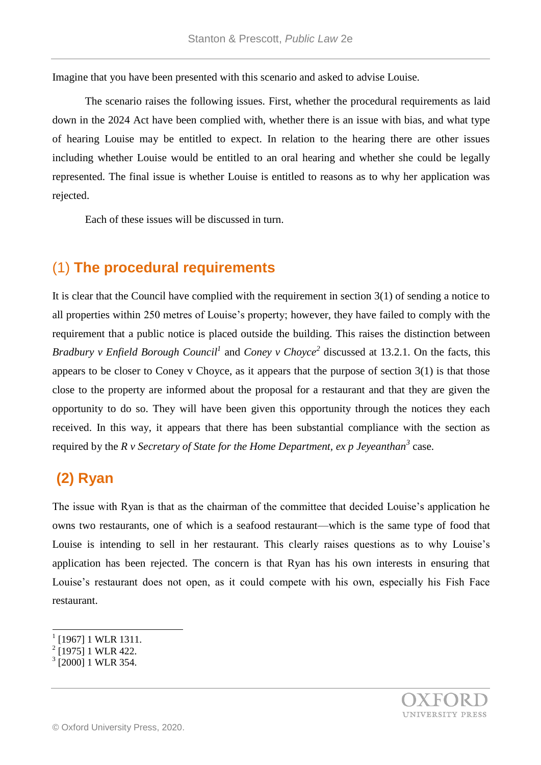Imagine that you have been presented with this scenario and asked to advise Louise.

The scenario raises the following issues. First, whether the procedural requirements as laid down in the 2024 Act have been complied with, whether there is an issue with bias, and what type of hearing Louise may be entitled to expect. In relation to the hearing there are other issues including whether Louise would be entitled to an oral hearing and whether she could be legally represented. The final issue is whether Louise is entitled to reasons as to why her application was rejected.

Each of these issues will be discussed in turn.

### (1) **The procedural requirements**

It is clear that the Council have complied with the requirement in section 3(1) of sending a notice to all properties within 250 metres of Louise's property; however, they have failed to comply with the requirement that a public notice is placed outside the building. This raises the distinction between *Bradbury v Enfield Borough Council<sup>1</sup>* and *Coney v Choyce<sup>2</sup>* discussed at 13.2.1. On the facts, this appears to be closer to Coney v Choyce, as it appears that the purpose of section 3(1) is that those close to the property are informed about the proposal for a restaurant and that they are given the opportunity to do so. They will have been given this opportunity through the notices they each received. In this way, it appears that there has been substantial compliance with the section as required by the *R v Secretary of State for the Home Department, ex p Jeyeanthan<sup>3</sup>* case.

# **(2) Ryan**

The issue with Ryan is that as the chairman of the committee that decided Louise's application he owns two restaurants, one of which is a seafood restaurant—which is the same type of food that Louise is intending to sell in her restaurant. This clearly raises questions as to why Louise's application has been rejected. The concern is that Ryan has his own interests in ensuring that Louise's restaurant does not open, as it could compete with his own, especially his Fish Face restaurant.

l

<sup>1</sup> [1967] 1 WLR 1311.

<sup>2</sup> [1975] 1 WLR 422.

<sup>&</sup>lt;sup>3</sup> [2000] 1 WLR 354.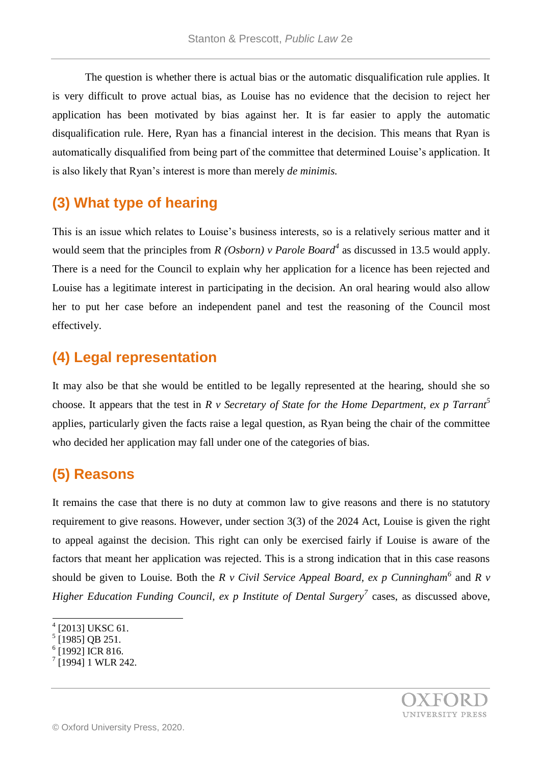The question is whether there is actual bias or the automatic disqualification rule applies. It is very difficult to prove actual bias, as Louise has no evidence that the decision to reject her application has been motivated by bias against her. It is far easier to apply the automatic disqualification rule. Here, Ryan has a financial interest in the decision. This means that Ryan is automatically disqualified from being part of the committee that determined Louise's application. It is also likely that Ryan's interest is more than merely *de minimis.*

### **(3) What type of hearing**

This is an issue which relates to Louise's business interests, so is a relatively serious matter and it would seem that the principles from *R (Osborn) v Parole Board<sup>4</sup>* as discussed in 13.5 would apply. There is a need for the Council to explain why her application for a licence has been rejected and Louise has a legitimate interest in participating in the decision. An oral hearing would also allow her to put her case before an independent panel and test the reasoning of the Council most effectively.

# **(4) Legal representation**

It may also be that she would be entitled to be legally represented at the hearing, should she so choose. It appears that the test in *R v Secretary of State for the Home Department, ex p Tarrant<sup>5</sup>* applies, particularly given the facts raise a legal question, as Ryan being the chair of the committee who decided her application may fall under one of the categories of bias.

# **(5) Reasons**

It remains the case that there is no duty at common law to give reasons and there is no statutory requirement to give reasons. However, under section 3(3) of the 2024 Act, Louise is given the right to appeal against the decision. This right can only be exercised fairly if Louise is aware of the factors that meant her application was rejected. This is a strong indication that in this case reasons should be given to Louise. Both the *R v Civil Service Appeal Board, ex p Cunningham*<sup>6</sup> and *R v Higher Education Funding Council, ex p Institute of Dental Surgery<sup>7</sup>* cases, as discussed above,

l



<sup>4</sup> [2013] UKSC 61.

<sup>5</sup> [1985] OB 251.

 $6$  [1992] ICR 816.

 $7$ [1994] 1 WLR 242.